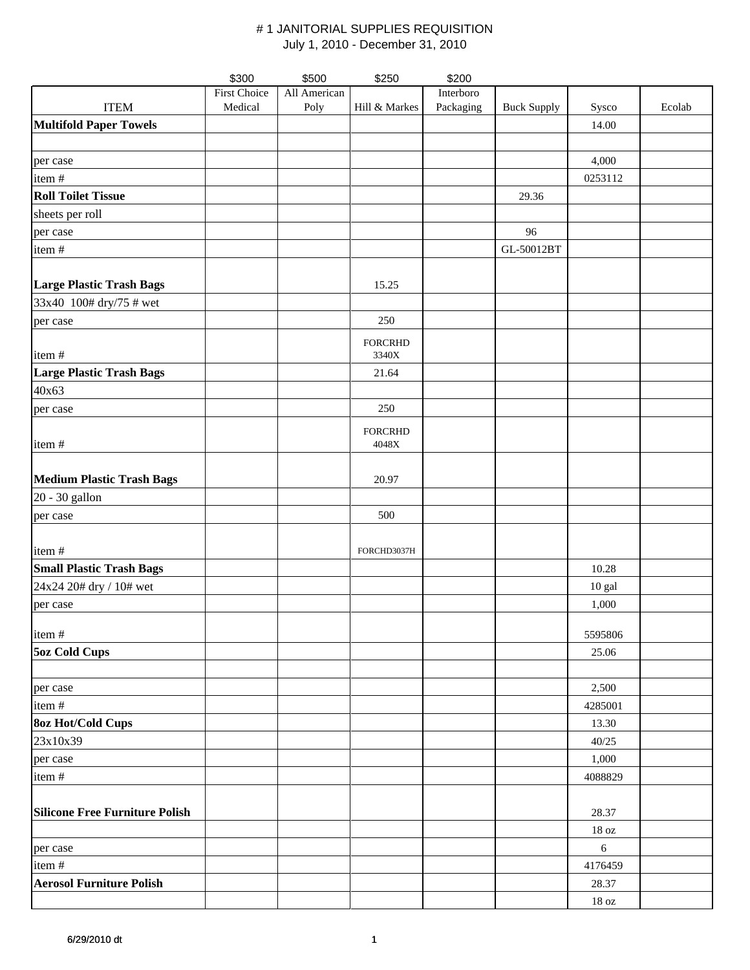|                                       | \$300               | \$500        | \$250                   | \$200     |                    |                   |        |
|---------------------------------------|---------------------|--------------|-------------------------|-----------|--------------------|-------------------|--------|
|                                       | <b>First Choice</b> | All American |                         | Interboro |                    |                   |        |
| <b>ITEM</b>                           | Medical             | Poly         | Hill & Markes           | Packaging | <b>Buck Supply</b> | Sysco             | Ecolab |
| <b>Multifold Paper Towels</b>         |                     |              |                         |           |                    | 14.00             |        |
|                                       |                     |              |                         |           |                    |                   |        |
| per case                              |                     |              |                         |           |                    | 4,000             |        |
| item #                                |                     |              |                         |           |                    | 0253112           |        |
| <b>Roll Toilet Tissue</b>             |                     |              |                         |           | 29.36              |                   |        |
| sheets per roll                       |                     |              |                         |           |                    |                   |        |
| per case                              |                     |              |                         |           | 96                 |                   |        |
| item#                                 |                     |              |                         |           | GL-50012BT         |                   |        |
|                                       |                     |              |                         |           |                    |                   |        |
| <b>Large Plastic Trash Bags</b>       |                     |              | 15.25                   |           |                    |                   |        |
| 33x40 100# dry/75 # wet               |                     |              |                         |           |                    |                   |        |
| per case                              |                     |              | 250                     |           |                    |                   |        |
|                                       |                     |              |                         |           |                    |                   |        |
| item#                                 |                     |              | <b>FORCRHD</b><br>3340X |           |                    |                   |        |
| <b>Large Plastic Trash Bags</b>       |                     |              | 21.64                   |           |                    |                   |        |
| 40x63                                 |                     |              |                         |           |                    |                   |        |
| per case                              |                     |              | 250                     |           |                    |                   |        |
|                                       |                     |              |                         |           |                    |                   |        |
| item#                                 |                     |              | <b>FORCRHD</b><br>4048X |           |                    |                   |        |
|                                       |                     |              |                         |           |                    |                   |        |
| <b>Medium Plastic Trash Bags</b>      |                     |              | 20.97                   |           |                    |                   |        |
| 20 - 30 gallon                        |                     |              |                         |           |                    |                   |        |
|                                       |                     |              | 500                     |           |                    |                   |        |
| per case                              |                     |              |                         |           |                    |                   |        |
|                                       |                     |              |                         |           |                    |                   |        |
| item#                                 |                     |              | FORCHD3037H             |           |                    |                   |        |
| <b>Small Plastic Trash Bags</b>       |                     |              |                         |           |                    | 10.28             |        |
| 24x24 20# dry / 10# wet               |                     |              |                         |           |                    | 10 gal            |        |
| per case                              |                     |              |                         |           |                    | 1,000             |        |
| item#                                 |                     |              |                         |           |                    | 5595806           |        |
| <b>5oz Cold Cups</b>                  |                     |              |                         |           |                    | 25.06             |        |
|                                       |                     |              |                         |           |                    |                   |        |
|                                       |                     |              |                         |           |                    | 2,500             |        |
| per case<br>item#                     |                     |              |                         |           |                    |                   |        |
|                                       |                     |              |                         |           |                    | 4285001           |        |
| <b>80z Hot/Cold Cups</b>              |                     |              |                         |           |                    | 13.30             |        |
| 23x10x39                              |                     |              |                         |           |                    | 40/25             |        |
| per case                              |                     |              |                         |           |                    | 1,000             |        |
| item#                                 |                     |              |                         |           |                    | 4088829           |        |
|                                       |                     |              |                         |           |                    |                   |        |
| <b>Silicone Free Furniture Polish</b> |                     |              |                         |           |                    | 28.37             |        |
|                                       |                     |              |                         |           |                    | $18$ oz           |        |
| per case                              |                     |              |                         |           |                    | $\sqrt{6}$        |        |
| item #                                |                     |              |                         |           |                    | 4176459           |        |
| <b>Aerosol Furniture Polish</b>       |                     |              |                         |           |                    | 28.37             |        |
|                                       |                     |              |                         |           |                    | $18\,\mathrm{oz}$ |        |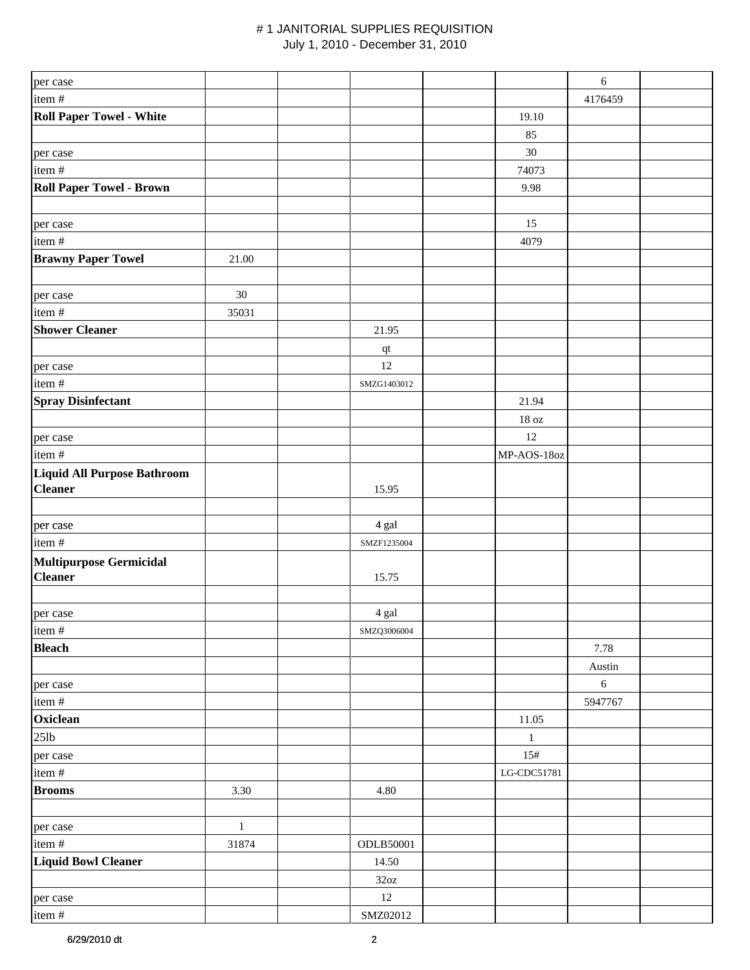| 4176459<br><b>Roll Paper Towel - White</b><br>19.10<br>85<br>$30\,$<br>74073<br>9.98<br>15<br>4079<br>21.00<br>30<br>35031<br>21.95<br>qt<br>12<br>SMZG1403012<br>21.94<br>$18\ \mathrm{oz}$<br>12<br>MP-AOS-18oz<br>15.95<br>4 gal<br>SMZF1235004<br><b>Multipurpose Germicidal</b><br><b>Cleaner</b><br>15.75<br>4 gal<br>item#<br>SMZQ3006004<br><b>Bleach</b><br>7.78<br>Austin<br>$\sqrt{6}$<br>per case<br>item#<br>5947767<br>Oxiclean<br>11.05<br>$25$ lb<br>$\mathbf{1}$<br>15#<br>per case<br>item#<br>LG-CDC51781<br><b>Brooms</b><br>3.30<br>4.80<br>$\,1$<br>per case<br>item#<br>31874<br>ODLB50001<br><b>Liquid Bowl Cleaner</b><br>14.50<br>32oz<br>12<br>per case<br>SMZ02012<br>item# | per case                        |  | $\sqrt{6}$ |  |
|---------------------------------------------------------------------------------------------------------------------------------------------------------------------------------------------------------------------------------------------------------------------------------------------------------------------------------------------------------------------------------------------------------------------------------------------------------------------------------------------------------------------------------------------------------------------------------------------------------------------------------------------------------------------------------------------------------|---------------------------------|--|------------|--|
|                                                                                                                                                                                                                                                                                                                                                                                                                                                                                                                                                                                                                                                                                                         | item#                           |  |            |  |
|                                                                                                                                                                                                                                                                                                                                                                                                                                                                                                                                                                                                                                                                                                         |                                 |  |            |  |
|                                                                                                                                                                                                                                                                                                                                                                                                                                                                                                                                                                                                                                                                                                         |                                 |  |            |  |
|                                                                                                                                                                                                                                                                                                                                                                                                                                                                                                                                                                                                                                                                                                         | per case                        |  |            |  |
|                                                                                                                                                                                                                                                                                                                                                                                                                                                                                                                                                                                                                                                                                                         | item#                           |  |            |  |
|                                                                                                                                                                                                                                                                                                                                                                                                                                                                                                                                                                                                                                                                                                         | <b>Roll Paper Towel - Brown</b> |  |            |  |
|                                                                                                                                                                                                                                                                                                                                                                                                                                                                                                                                                                                                                                                                                                         |                                 |  |            |  |
|                                                                                                                                                                                                                                                                                                                                                                                                                                                                                                                                                                                                                                                                                                         | per case                        |  |            |  |
|                                                                                                                                                                                                                                                                                                                                                                                                                                                                                                                                                                                                                                                                                                         | item#                           |  |            |  |
|                                                                                                                                                                                                                                                                                                                                                                                                                                                                                                                                                                                                                                                                                                         | <b>Brawny Paper Towel</b>       |  |            |  |
|                                                                                                                                                                                                                                                                                                                                                                                                                                                                                                                                                                                                                                                                                                         |                                 |  |            |  |
|                                                                                                                                                                                                                                                                                                                                                                                                                                                                                                                                                                                                                                                                                                         | per case                        |  |            |  |
|                                                                                                                                                                                                                                                                                                                                                                                                                                                                                                                                                                                                                                                                                                         | item#                           |  |            |  |
|                                                                                                                                                                                                                                                                                                                                                                                                                                                                                                                                                                                                                                                                                                         | <b>Shower Cleaner</b>           |  |            |  |
|                                                                                                                                                                                                                                                                                                                                                                                                                                                                                                                                                                                                                                                                                                         |                                 |  |            |  |
|                                                                                                                                                                                                                                                                                                                                                                                                                                                                                                                                                                                                                                                                                                         | per case                        |  |            |  |
|                                                                                                                                                                                                                                                                                                                                                                                                                                                                                                                                                                                                                                                                                                         | item#                           |  |            |  |
|                                                                                                                                                                                                                                                                                                                                                                                                                                                                                                                                                                                                                                                                                                         | <b>Spray Disinfectant</b>       |  |            |  |
|                                                                                                                                                                                                                                                                                                                                                                                                                                                                                                                                                                                                                                                                                                         |                                 |  |            |  |
|                                                                                                                                                                                                                                                                                                                                                                                                                                                                                                                                                                                                                                                                                                         | per case                        |  |            |  |
|                                                                                                                                                                                                                                                                                                                                                                                                                                                                                                                                                                                                                                                                                                         | item#                           |  |            |  |
|                                                                                                                                                                                                                                                                                                                                                                                                                                                                                                                                                                                                                                                                                                         | Liquid All Purpose Bathroom     |  |            |  |
|                                                                                                                                                                                                                                                                                                                                                                                                                                                                                                                                                                                                                                                                                                         | <b>Cleaner</b>                  |  |            |  |
|                                                                                                                                                                                                                                                                                                                                                                                                                                                                                                                                                                                                                                                                                                         |                                 |  |            |  |
|                                                                                                                                                                                                                                                                                                                                                                                                                                                                                                                                                                                                                                                                                                         | per case                        |  |            |  |
|                                                                                                                                                                                                                                                                                                                                                                                                                                                                                                                                                                                                                                                                                                         | item#                           |  |            |  |
|                                                                                                                                                                                                                                                                                                                                                                                                                                                                                                                                                                                                                                                                                                         |                                 |  |            |  |
|                                                                                                                                                                                                                                                                                                                                                                                                                                                                                                                                                                                                                                                                                                         |                                 |  |            |  |
|                                                                                                                                                                                                                                                                                                                                                                                                                                                                                                                                                                                                                                                                                                         |                                 |  |            |  |
|                                                                                                                                                                                                                                                                                                                                                                                                                                                                                                                                                                                                                                                                                                         | per case                        |  |            |  |
|                                                                                                                                                                                                                                                                                                                                                                                                                                                                                                                                                                                                                                                                                                         |                                 |  |            |  |
|                                                                                                                                                                                                                                                                                                                                                                                                                                                                                                                                                                                                                                                                                                         |                                 |  |            |  |
|                                                                                                                                                                                                                                                                                                                                                                                                                                                                                                                                                                                                                                                                                                         |                                 |  |            |  |
|                                                                                                                                                                                                                                                                                                                                                                                                                                                                                                                                                                                                                                                                                                         |                                 |  |            |  |
|                                                                                                                                                                                                                                                                                                                                                                                                                                                                                                                                                                                                                                                                                                         |                                 |  |            |  |
|                                                                                                                                                                                                                                                                                                                                                                                                                                                                                                                                                                                                                                                                                                         |                                 |  |            |  |
|                                                                                                                                                                                                                                                                                                                                                                                                                                                                                                                                                                                                                                                                                                         |                                 |  |            |  |
|                                                                                                                                                                                                                                                                                                                                                                                                                                                                                                                                                                                                                                                                                                         |                                 |  |            |  |
|                                                                                                                                                                                                                                                                                                                                                                                                                                                                                                                                                                                                                                                                                                         |                                 |  |            |  |
|                                                                                                                                                                                                                                                                                                                                                                                                                                                                                                                                                                                                                                                                                                         |                                 |  |            |  |
|                                                                                                                                                                                                                                                                                                                                                                                                                                                                                                                                                                                                                                                                                                         |                                 |  |            |  |
|                                                                                                                                                                                                                                                                                                                                                                                                                                                                                                                                                                                                                                                                                                         |                                 |  |            |  |
|                                                                                                                                                                                                                                                                                                                                                                                                                                                                                                                                                                                                                                                                                                         |                                 |  |            |  |
|                                                                                                                                                                                                                                                                                                                                                                                                                                                                                                                                                                                                                                                                                                         |                                 |  |            |  |
|                                                                                                                                                                                                                                                                                                                                                                                                                                                                                                                                                                                                                                                                                                         |                                 |  |            |  |
|                                                                                                                                                                                                                                                                                                                                                                                                                                                                                                                                                                                                                                                                                                         |                                 |  |            |  |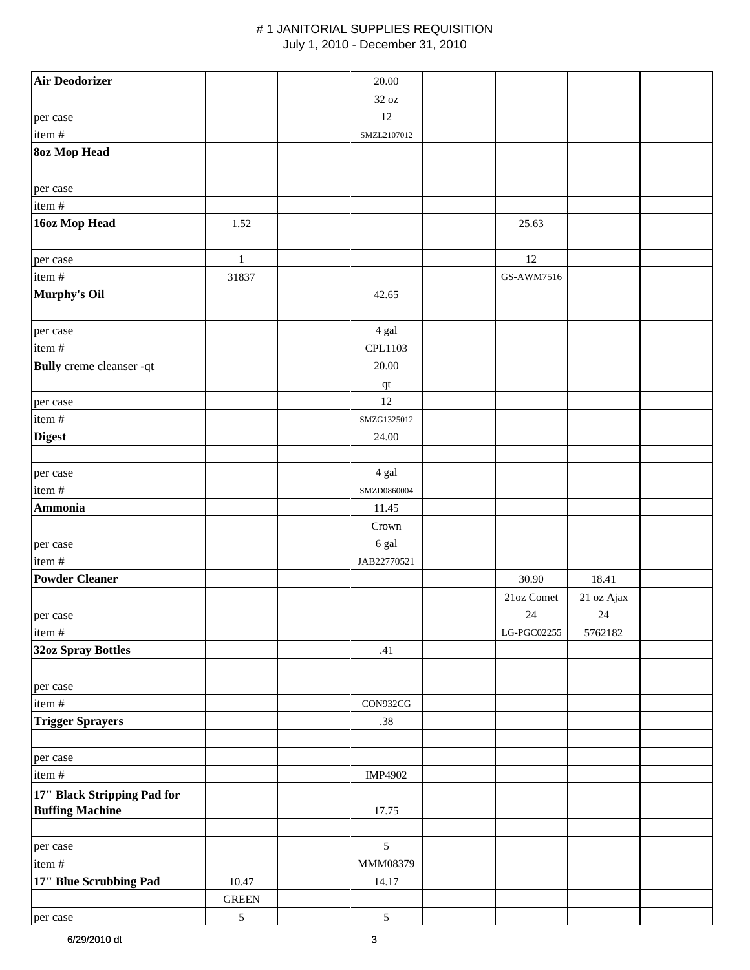| <b>Air Deodorizer</b>           |              | 20.00                  |                             |            |  |
|---------------------------------|--------------|------------------------|-----------------------------|------------|--|
|                                 |              | 32 oz                  |                             |            |  |
| per case                        |              | 12                     |                             |            |  |
| item #                          |              | SMZL2107012            |                             |            |  |
| <b>8oz Mop Head</b>             |              |                        |                             |            |  |
|                                 |              |                        |                             |            |  |
| per case                        |              |                        |                             |            |  |
| item #                          |              |                        |                             |            |  |
| 16oz Mop Head                   | 1.52         |                        | 25.63                       |            |  |
|                                 |              |                        |                             |            |  |
| per case                        | $\mathbf{1}$ |                        | 12                          |            |  |
| item#                           | 31837        |                        | GS-AWM7516                  |            |  |
| Murphy's Oil                    |              | 42.65                  |                             |            |  |
|                                 |              |                        |                             |            |  |
| per case                        |              | 4 gal                  |                             |            |  |
| item#                           |              | CPL1103                |                             |            |  |
| <b>Bully</b> creme cleanser -qt |              | $20.00\,$              |                             |            |  |
|                                 |              | $\mathbf{q}\mathbf{t}$ |                             |            |  |
| per case                        |              | 12                     |                             |            |  |
| item #                          |              | SMZG1325012            |                             |            |  |
| <b>Digest</b>                   |              | 24.00                  |                             |            |  |
|                                 |              |                        |                             |            |  |
| per case                        |              | 4 gal                  |                             |            |  |
| item #                          |              | SMZD0860004            |                             |            |  |
| <b>Ammonia</b>                  |              | 11.45                  |                             |            |  |
|                                 |              | Crown                  |                             |            |  |
| per case                        |              | 6 gal                  |                             |            |  |
| item#                           |              | JAB22770521            |                             |            |  |
| <b>Powder Cleaner</b>           |              |                        | 30.90                       | 18.41      |  |
|                                 |              |                        | 21oz Comet                  | 21 oz Ajax |  |
| per case                        |              |                        | $24\,$                      | $24\,$     |  |
| item #                          |              |                        | $_{\rm LG\text{-}PGC02255}$ | 5762182    |  |
| <b>32oz Spray Bottles</b>       |              | .41                    |                             |            |  |
|                                 |              |                        |                             |            |  |
| per case                        |              |                        |                             |            |  |
| item #                          |              | CON932CG               |                             |            |  |
| <b>Trigger Sprayers</b>         |              | .38                    |                             |            |  |
|                                 |              |                        |                             |            |  |
| per case                        |              |                        |                             |            |  |
| item#                           |              | IMP4902                |                             |            |  |
| 17" Black Stripping Pad for     |              |                        |                             |            |  |
| <b>Buffing Machine</b>          |              | 17.75                  |                             |            |  |
|                                 |              |                        |                             |            |  |
| per case                        |              | $\mathfrak{S}$         |                             |            |  |
| item#                           |              | MMM08379               |                             |            |  |
| 17" Blue Scrubbing Pad          | 10.47        | 14.17                  |                             |            |  |
|                                 | <b>GREEN</b> |                        |                             |            |  |
| per case                        | $\sqrt{5}$   | $\sqrt{5}$             |                             |            |  |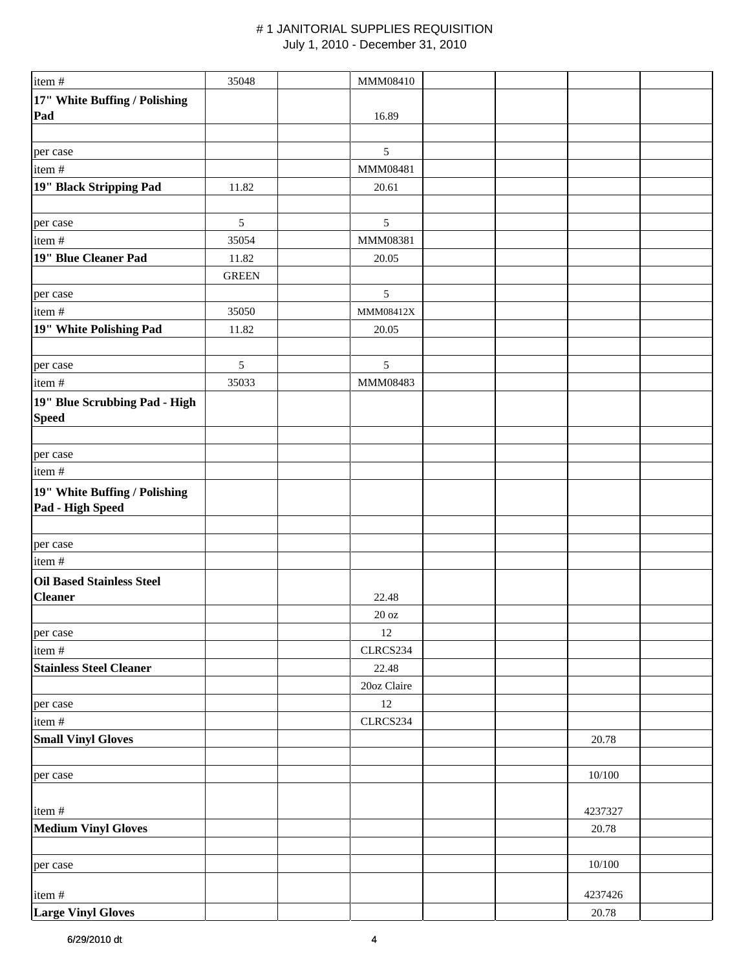| item #                           | 35048        | MMM08410          |  |            |  |
|----------------------------------|--------------|-------------------|--|------------|--|
| 17" White Buffing / Polishing    |              |                   |  |            |  |
| Pad                              |              | 16.89             |  |            |  |
|                                  |              |                   |  |            |  |
| per case                         |              | 5                 |  |            |  |
| item#                            |              | MMM08481          |  |            |  |
| 19" Black Stripping Pad          | 11.82        | 20.61             |  |            |  |
|                                  |              |                   |  |            |  |
| per case                         | $\sqrt{5}$   | $\mathfrak{S}$    |  |            |  |
| item#                            | 35054        | MMM08381          |  |            |  |
| 19" Blue Cleaner Pad             | 11.82        | 20.05             |  |            |  |
|                                  | <b>GREEN</b> |                   |  |            |  |
| per case                         |              | $\sqrt{5}$        |  |            |  |
| item#                            | 35050        | MMM08412X         |  |            |  |
| 19" White Polishing Pad          | 11.82        | 20.05             |  |            |  |
|                                  |              |                   |  |            |  |
|                                  |              |                   |  |            |  |
| per case                         | $\sqrt{5}$   | $\mathfrak{S}$    |  |            |  |
| item#                            | 35033        | MMM08483          |  |            |  |
| 19" Blue Scrubbing Pad - High    |              |                   |  |            |  |
| <b>Speed</b>                     |              |                   |  |            |  |
|                                  |              |                   |  |            |  |
| per case                         |              |                   |  |            |  |
| item#                            |              |                   |  |            |  |
| 19" White Buffing / Polishing    |              |                   |  |            |  |
| Pad - High Speed                 |              |                   |  |            |  |
|                                  |              |                   |  |            |  |
| per case                         |              |                   |  |            |  |
| item#                            |              |                   |  |            |  |
| <b>Oil Based Stainless Steel</b> |              |                   |  |            |  |
| <b>Cleaner</b>                   |              | 22.48             |  |            |  |
|                                  |              | $20\ \mathrm{oz}$ |  |            |  |
| per case                         |              | 12                |  |            |  |
| item#                            |              | CLRCS234          |  |            |  |
| <b>Stainless Steel Cleaner</b>   |              | 22.48             |  |            |  |
|                                  |              | 20oz Claire       |  |            |  |
| per case                         |              | 12                |  |            |  |
| item #                           |              | CLRCS234          |  |            |  |
| <b>Small Vinyl Gloves</b>        |              |                   |  | 20.78      |  |
|                                  |              |                   |  |            |  |
|                                  |              |                   |  | $10/100\,$ |  |
| per case                         |              |                   |  |            |  |
|                                  |              |                   |  |            |  |
| item#                            |              |                   |  | 4237327    |  |
| <b>Medium Vinyl Gloves</b>       |              |                   |  | 20.78      |  |
|                                  |              |                   |  |            |  |
| per case                         |              |                   |  | 10/100     |  |
|                                  |              |                   |  |            |  |
| item#                            |              |                   |  | 4237426    |  |
| <b>Large Vinyl Gloves</b>        |              |                   |  | 20.78      |  |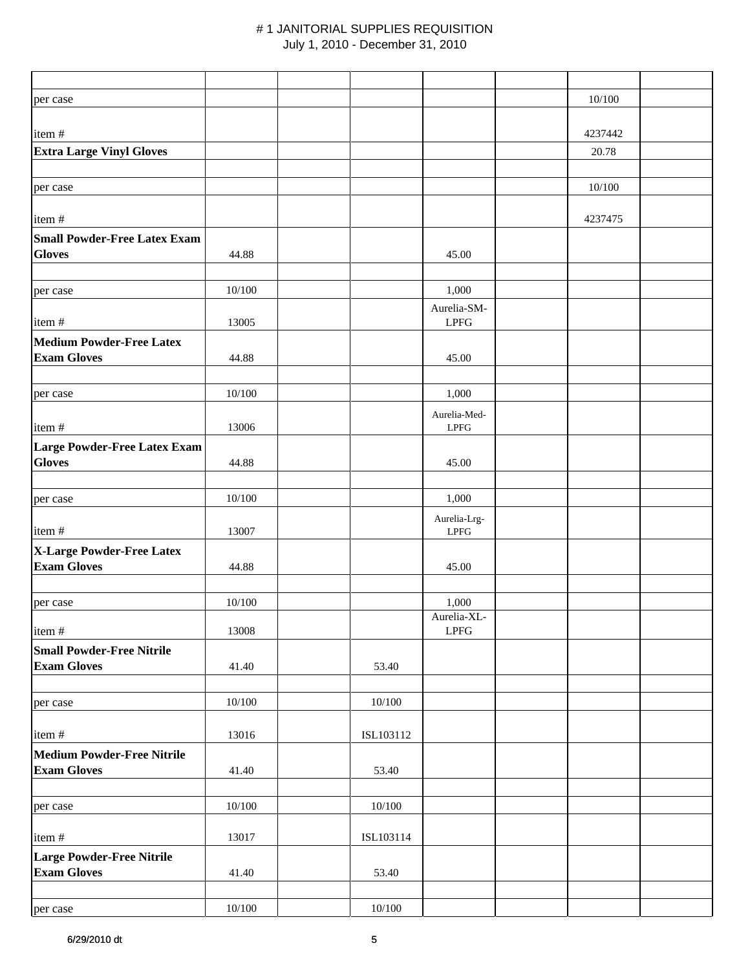| per case                                                |        |            |                              | 10/100  |  |
|---------------------------------------------------------|--------|------------|------------------------------|---------|--|
|                                                         |        |            |                              |         |  |
| item#                                                   |        |            |                              | 4237442 |  |
| <b>Extra Large Vinyl Gloves</b>                         |        |            |                              | 20.78   |  |
|                                                         |        |            |                              |         |  |
| per case                                                |        |            |                              | 10/100  |  |
|                                                         |        |            |                              |         |  |
| item#                                                   |        |            |                              | 4237475 |  |
| <b>Small Powder-Free Latex Exam</b><br><b>Gloves</b>    | 44.88  |            |                              |         |  |
|                                                         |        |            | 45.00                        |         |  |
| per case                                                | 10/100 |            | 1,000                        |         |  |
|                                                         |        |            | Aurelia-SM-                  |         |  |
| item#                                                   | 13005  |            | <b>LPFG</b>                  |         |  |
| <b>Medium Powder-Free Latex</b>                         |        |            |                              |         |  |
| <b>Exam Gloves</b>                                      | 44.88  |            | 45.00                        |         |  |
|                                                         |        |            |                              |         |  |
| per case                                                | 10/100 |            | 1,000                        |         |  |
|                                                         |        |            | Aurelia-Med-                 |         |  |
| item#                                                   | 13006  |            | <b>LPFG</b>                  |         |  |
| <b>Large Powder-Free Latex Exam</b><br><b>Gloves</b>    | 44.88  |            | 45.00                        |         |  |
|                                                         |        |            |                              |         |  |
| per case                                                | 10/100 |            | 1,000                        |         |  |
|                                                         |        |            | Aurelia-Lrg-                 |         |  |
| item#                                                   | 13007  |            | <b>LPFG</b>                  |         |  |
| X-Large Powder-Free Latex                               |        |            |                              |         |  |
| <b>Exam Gloves</b>                                      | 44.88  |            | 45.00                        |         |  |
|                                                         |        |            |                              |         |  |
| per case                                                | 10/100 |            | 1,000<br>Aurelia-XL-         |         |  |
| item#                                                   | 13008  |            | $\ensuremath{\mathrm{LPFG}}$ |         |  |
| <b>Small Powder-Free Nitrile</b>                        |        |            |                              |         |  |
| <b>Exam Gloves</b>                                      | 41.40  | 53.40      |                              |         |  |
|                                                         |        |            |                              |         |  |
| per case                                                | 10/100 | $10/100\,$ |                              |         |  |
|                                                         |        |            |                              |         |  |
| item#                                                   | 13016  | ISL103112  |                              |         |  |
| <b>Medium Powder-Free Nitrile</b><br><b>Exam Gloves</b> | 41.40  | 53.40      |                              |         |  |
|                                                         |        |            |                              |         |  |
| per case                                                | 10/100 | $10/100\,$ |                              |         |  |
|                                                         |        |            |                              |         |  |
| item#                                                   | 13017  | ISL103114  |                              |         |  |
| Large Powder-Free Nitrile                               |        |            |                              |         |  |
| <b>Exam Gloves</b>                                      | 41.40  | 53.40      |                              |         |  |
|                                                         |        |            |                              |         |  |
| per case                                                | 10/100 | $10/100\,$ |                              |         |  |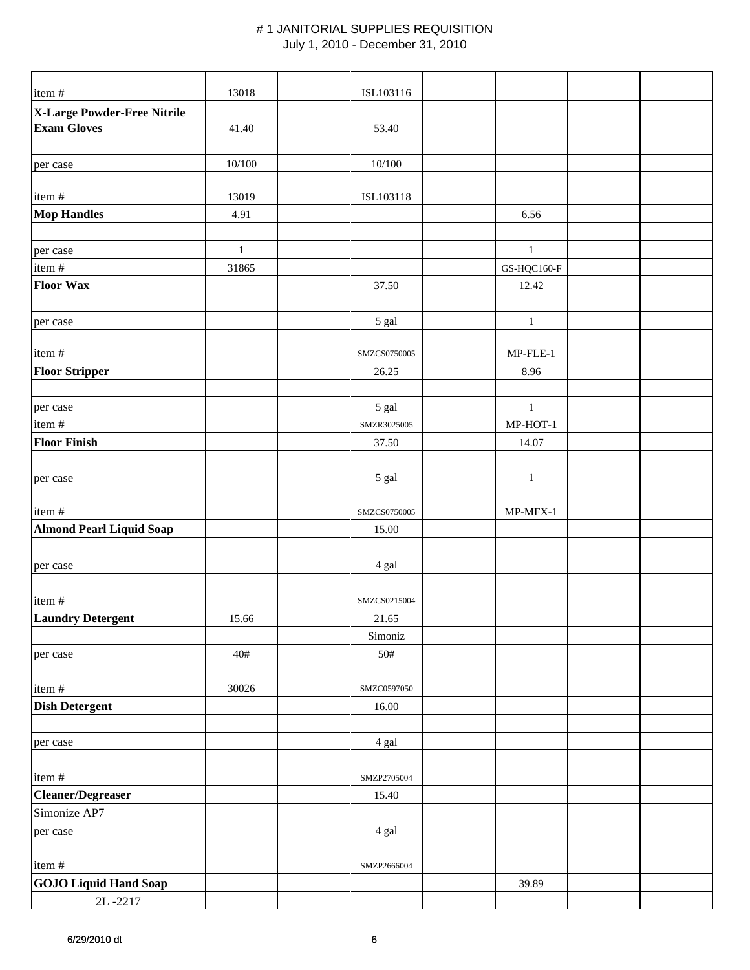| item#                                             | 13018         | ISL103116    |              |  |
|---------------------------------------------------|---------------|--------------|--------------|--|
| X-Large Powder-Free Nitrile<br><b>Exam Gloves</b> | 41.40         | 53.40        |              |  |
| per case                                          | 10/100        | 10/100       |              |  |
|                                                   |               |              |              |  |
| item#<br><b>Mop Handles</b>                       | 13019<br>4.91 | ISL103118    | 6.56         |  |
|                                                   |               |              |              |  |
| per case                                          | $\,1$         |              | $\,1\,$      |  |
| item #                                            | 31865         |              | GS-HQC160-F  |  |
| <b>Floor Wax</b>                                  |               | 37.50        | 12.42        |  |
|                                                   |               |              |              |  |
| per case                                          |               | 5 gal        | $\mathbf{1}$ |  |
| item#                                             |               | SMZCS0750005 | $MP-FLE-1$   |  |
| <b>Floor Stripper</b>                             |               | 26.25        | 8.96         |  |
|                                                   |               |              |              |  |
| per case                                          |               | 5 gal        | $\,1\,$      |  |
| item #                                            |               | SMZR3025005  | MP-HOT-1     |  |
| <b>Floor Finish</b>                               |               | 37.50        | 14.07        |  |
|                                                   |               |              |              |  |
| per case                                          |               | 5 gal        | $\mathbf{1}$ |  |
| item#                                             |               | SMZCS0750005 | MP-MFX-1     |  |
| <b>Almond Pearl Liquid Soap</b>                   |               | 15.00        |              |  |
|                                                   |               |              |              |  |
| per case                                          |               | 4 gal        |              |  |
|                                                   |               |              |              |  |
| item#                                             |               | SMZCS0215004 |              |  |
| <b>Laundry Detergent</b>                          | 15.66         | 21.65        |              |  |
|                                                   |               | Simoniz      |              |  |
| per case                                          | 40#           | 50#          |              |  |
| item#                                             | 30026         | SMZC0597050  |              |  |
| <b>Dish Detergent</b>                             |               | 16.00        |              |  |
|                                                   |               |              |              |  |
| per case                                          |               | 4 gal        |              |  |
|                                                   |               |              |              |  |
| item#                                             |               | SMZP2705004  |              |  |
| <b>Cleaner/Degreaser</b>                          |               | 15.40        |              |  |
| Simonize AP7                                      |               |              |              |  |
| per case                                          |               | 4 gal        |              |  |
| item#                                             |               | SMZP2666004  |              |  |
| <b>GOJO Liquid Hand Soap</b>                      |               |              | 39.89        |  |
| 2L-2217                                           |               |              |              |  |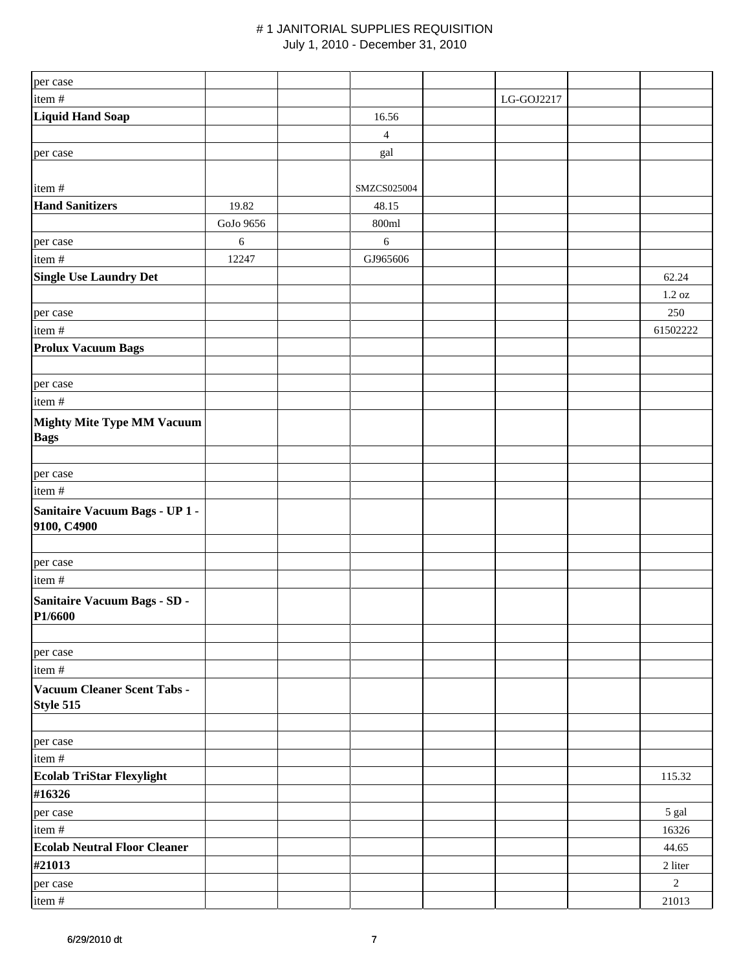| per case                                         |           |                |            |                    |
|--------------------------------------------------|-----------|----------------|------------|--------------------|
| item#                                            |           |                | LG-GOJ2217 |                    |
| Liquid Hand Soap                                 |           | 16.56          |            |                    |
|                                                  |           | $\overline{4}$ |            |                    |
| per case                                         |           | gal            |            |                    |
|                                                  |           |                |            |                    |
| item#                                            |           | SMZCS025004    |            |                    |
| <b>Hand Sanitizers</b>                           | 19.82     | 48.15          |            |                    |
|                                                  | GoJo 9656 | 800ml          |            |                    |
| per case                                         | 6         | $\sqrt{6}$     |            |                    |
| item#                                            | 12247     | GJ965606       |            |                    |
| <b>Single Use Laundry Det</b>                    |           |                |            | 62.24              |
|                                                  |           |                |            | $1.2\ \mathrm{oz}$ |
| per case                                         |           |                |            | 250                |
| item #                                           |           |                |            | 61502222           |
| <b>Prolux Vacuum Bags</b>                        |           |                |            |                    |
| per case                                         |           |                |            |                    |
| item#                                            |           |                |            |                    |
| <b>Mighty Mite Type MM Vacuum</b><br><b>Bags</b> |           |                |            |                    |
| per case                                         |           |                |            |                    |
| item#                                            |           |                |            |                    |
| Sanitaire Vacuum Bags - UP 1 -<br>9100, C4900    |           |                |            |                    |
|                                                  |           |                |            |                    |
| per case                                         |           |                |            |                    |
| item #                                           |           |                |            |                    |
| Sanitaire Vacuum Bags - SD -<br>P1/6600          |           |                |            |                    |
|                                                  |           |                |            |                    |
| per case<br>item#                                |           |                |            |                    |
| Vacuum Cleaner Scent Tabs -<br>Style 515         |           |                |            |                    |
|                                                  |           |                |            |                    |
| per case                                         |           |                |            |                    |
| item #                                           |           |                |            |                    |
| <b>Ecolab TriStar Flexylight</b>                 |           |                |            | 115.32             |
| #16326                                           |           |                |            |                    |
| per case                                         |           |                |            | 5 gal              |
| item#                                            |           |                |            | 16326              |
| <b>Ecolab Neutral Floor Cleaner</b>              |           |                |            | 44.65              |
| #21013                                           |           |                |            | 2 liter            |
| per case                                         |           |                |            | $\sqrt{2}$         |
| item#                                            |           |                |            | 21013              |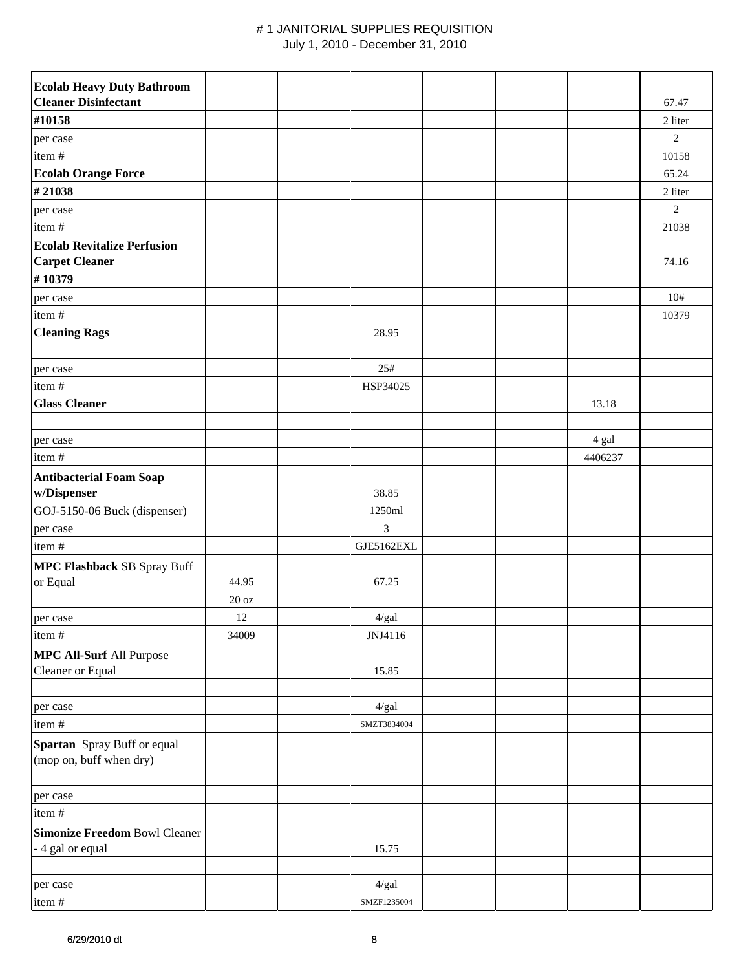| <b>Ecolab Heavy Duty Bathroom</b>                           |       |             |  |         |              |
|-------------------------------------------------------------|-------|-------------|--|---------|--------------|
| <b>Cleaner Disinfectant</b>                                 |       |             |  |         | 67.47        |
| #10158                                                      |       |             |  |         | 2 liter      |
| per case                                                    |       |             |  |         | $\mathbf{2}$ |
| item#                                                       |       |             |  |         | 10158        |
| <b>Ecolab Orange Force</b>                                  |       |             |  |         | 65.24        |
| #21038                                                      |       |             |  |         | 2 liter      |
| per case                                                    |       |             |  |         | $\mathbf{2}$ |
| item#                                                       |       |             |  |         | 21038        |
| <b>Ecolab Revitalize Perfusion</b><br><b>Carpet Cleaner</b> |       |             |  |         | 74.16        |
| #10379                                                      |       |             |  |         |              |
| per case                                                    |       |             |  |         | 10#          |
| item#                                                       |       |             |  |         | 10379        |
| <b>Cleaning Rags</b>                                        |       | 28.95       |  |         |              |
|                                                             |       |             |  |         |              |
| per case                                                    |       | 25#         |  |         |              |
| item #                                                      |       | HSP34025    |  |         |              |
| <b>Glass Cleaner</b>                                        |       |             |  | 13.18   |              |
| per case                                                    |       |             |  | 4 gal   |              |
| item#                                                       |       |             |  | 4406237 |              |
| <b>Antibacterial Foam Soap</b><br>w/Dispenser               |       | 38.85       |  |         |              |
| GOJ-5150-06 Buck (dispenser)                                |       | 1250ml      |  |         |              |
| per case                                                    |       | 3           |  |         |              |
| item#                                                       |       | GJE5162EXL  |  |         |              |
| <b>MPC Flashback SB Spray Buff</b><br>or Equal              | 44.95 | 67.25       |  |         |              |
|                                                             | 20 oz |             |  |         |              |
| per case                                                    | 12    | $4/gal$     |  |         |              |
| item#                                                       | 34009 | JNJ4116     |  |         |              |
| <b>MPC All-Surf All Purpose</b><br>Cleaner or Equal         |       | 15.85       |  |         |              |
| per case                                                    |       | 4/gal       |  |         |              |
| item#                                                       |       | SMZT3834004 |  |         |              |
| Spartan Spray Buff or equal<br>(mop on, buff when dry)      |       |             |  |         |              |
| per case                                                    |       |             |  |         |              |
| item#                                                       |       |             |  |         |              |
| <b>Simonize Freedom Bowl Cleaner</b><br>- 4 gal or equal    |       | 15.75       |  |         |              |
|                                                             |       |             |  |         |              |
| per case                                                    |       | 4/gal       |  |         |              |
| item #                                                      |       | SMZF1235004 |  |         |              |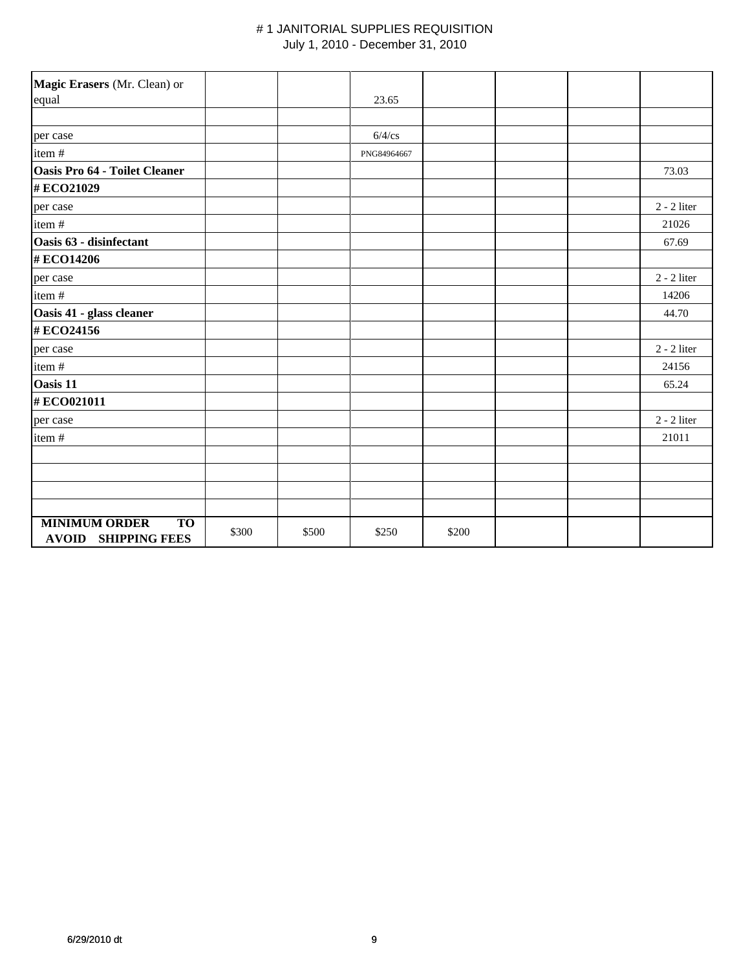| Magic Erasers (Mr. Clean) or                                    |       |       |             |       |  |               |
|-----------------------------------------------------------------|-------|-------|-------------|-------|--|---------------|
| equal                                                           |       |       | 23.65       |       |  |               |
|                                                                 |       |       |             |       |  |               |
| per case                                                        |       |       | $6/4$ /cs   |       |  |               |
| item#                                                           |       |       | PNG84964667 |       |  |               |
| <b>Oasis Pro 64 - Toilet Cleaner</b>                            |       |       |             |       |  | 73.03         |
| #ECO21029                                                       |       |       |             |       |  |               |
| per case                                                        |       |       |             |       |  | $2 - 2$ liter |
| item#                                                           |       |       |             |       |  | 21026         |
| Oasis 63 - disinfectant                                         |       |       |             |       |  | 67.69         |
| #ECO14206                                                       |       |       |             |       |  |               |
| per case                                                        |       |       |             |       |  | $2 - 2$ liter |
| item#                                                           |       |       |             |       |  | 14206         |
| Oasis 41 - glass cleaner                                        |       |       |             |       |  | 44.70         |
| #ECO24156                                                       |       |       |             |       |  |               |
| per case                                                        |       |       |             |       |  | $2 - 2$ liter |
| item#                                                           |       |       |             |       |  | 24156         |
| <b>Oasis 11</b>                                                 |       |       |             |       |  | 65.24         |
| #ECO021011                                                      |       |       |             |       |  |               |
| per case                                                        |       |       |             |       |  | $2 - 2$ liter |
| item#                                                           |       |       |             |       |  | 21011         |
|                                                                 |       |       |             |       |  |               |
|                                                                 |       |       |             |       |  |               |
|                                                                 |       |       |             |       |  |               |
|                                                                 |       |       |             |       |  |               |
| <b>MINIMUM ORDER</b><br><b>TO</b><br><b>AVOID SHIPPING FEES</b> | \$300 | \$500 | \$250       | \$200 |  |               |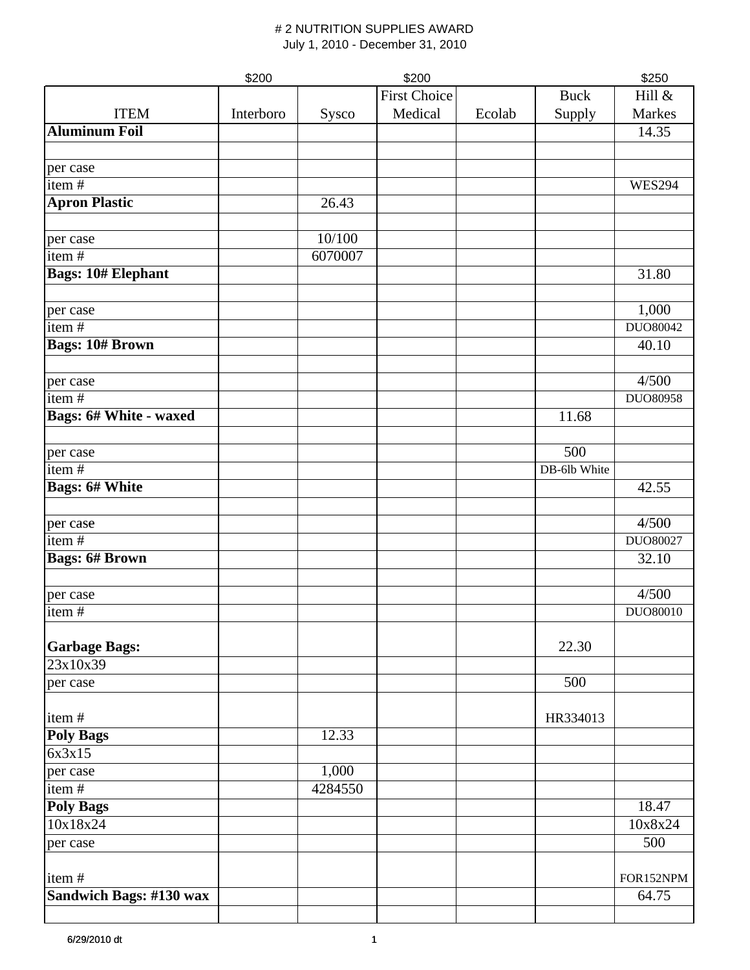|                                | \$200     |         | \$200               |        |              | \$250         |
|--------------------------------|-----------|---------|---------------------|--------|--------------|---------------|
|                                |           |         | <b>First Choice</b> |        | <b>Buck</b>  | Hill &        |
| <b>ITEM</b>                    | Interboro | Sysco   | Medical             | Ecolab | Supply       | Markes        |
| <b>Aluminum Foil</b>           |           |         |                     |        |              | 14.35         |
|                                |           |         |                     |        |              |               |
| per case                       |           |         |                     |        |              |               |
| item#                          |           |         |                     |        |              | <b>WES294</b> |
| <b>Apron Plastic</b>           |           | 26.43   |                     |        |              |               |
|                                |           |         |                     |        |              |               |
| per case                       |           | 10/100  |                     |        |              |               |
| item#                          |           | 6070007 |                     |        |              |               |
| <b>Bags: 10# Elephant</b>      |           |         |                     |        |              | 31.80         |
|                                |           |         |                     |        |              |               |
| per case                       |           |         |                     |        |              | 1,000         |
| item $\frac{1}{4}$             |           |         |                     |        |              | DUO80042      |
| <b>Bags: 10# Brown</b>         |           |         |                     |        |              | 40.10         |
|                                |           |         |                     |        |              |               |
| per case                       |           |         |                     |        |              | 4/500         |
| item#                          |           |         |                     |        |              | DUO80958      |
| <b>Bags: 6# White - waxed</b>  |           |         |                     |        | 11.68        |               |
|                                |           |         |                     |        |              |               |
| per case                       |           |         |                     |        | 500          |               |
| item $\frac{1}{t}$             |           |         |                     |        | DB-6lb White |               |
| <b>Bags: 6# White</b>          |           |         |                     |        |              | 42.55         |
|                                |           |         |                     |        |              |               |
| per case                       |           |         |                     |        |              | 4/500         |
| item#                          |           |         |                     |        |              | DUO80027      |
| <b>Bags: 6# Brown</b>          |           |         |                     |        |              | 32.10         |
|                                |           |         |                     |        |              |               |
|                                |           |         |                     |        |              | 4/500         |
| per case<br>item#              |           |         |                     |        |              | DUO80010      |
|                                |           |         |                     |        |              |               |
| <b>Garbage Bags:</b>           |           |         |                     |        | 22.30        |               |
| 23x10x39                       |           |         |                     |        |              |               |
| per case                       |           |         |                     |        | 500          |               |
|                                |           |         |                     |        |              |               |
| item#                          |           |         |                     |        | HR334013     |               |
| <b>Poly Bags</b>               |           | 12.33   |                     |        |              |               |
| 6x3x15                         |           |         |                     |        |              |               |
| per case                       |           | 1,000   |                     |        |              |               |
| item#                          |           | 4284550 |                     |        |              |               |
| <b>Poly Bags</b>               |           |         |                     |        |              | 18.47         |
| 10x18x24                       |           |         |                     |        |              | 10x8x24       |
| per case                       |           |         |                     |        |              | 500           |
|                                |           |         |                     |        |              |               |
| item#                          |           |         |                     |        |              | FOR152NPM     |
| <b>Sandwich Bags: #130 wax</b> |           |         |                     |        |              | 64.75         |
|                                |           |         |                     |        |              |               |
|                                |           |         |                     |        |              |               |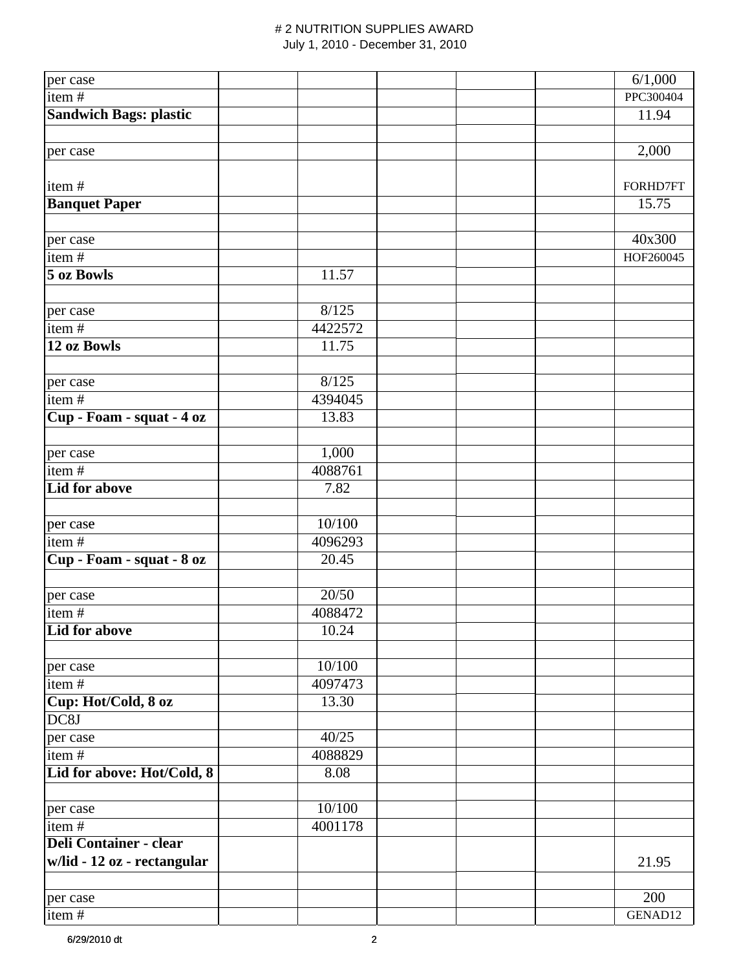| per case                      |         | 6/1,000   |
|-------------------------------|---------|-----------|
| item#                         |         | PPC300404 |
| <b>Sandwich Bags: plastic</b> |         | 11.94     |
|                               |         |           |
| per case                      |         | 2,000     |
|                               |         |           |
| item#                         |         | FORHD7FT  |
| <b>Banquet Paper</b>          |         | 15.75     |
|                               |         |           |
| per case                      |         | 40x300    |
| item#                         |         | HOF260045 |
| 5 oz Bowls                    | 11.57   |           |
|                               |         |           |
| per case                      | 8/125   |           |
| item#                         | 4422572 |           |
| 12 oz Bowls                   | 11.75   |           |
|                               |         |           |
| per case                      | 8/125   |           |
| item $\frac{1}{4}$            | 4394045 |           |
| Cup - Foam - squat - 4 oz     | 13.83   |           |
|                               |         |           |
| per case                      | 1,000   |           |
| item $\frac{1}{4}$            | 4088761 |           |
| <b>Lid for above</b>          | 7.82    |           |
|                               |         |           |
| per case                      | 10/100  |           |
| item $#$                      | 4096293 |           |
| Cup - Foam - squat - 8 oz     | 20.45   |           |
|                               |         |           |
| per case                      | 20/50   |           |
| item#                         | 4088472 |           |
| Lid for above                 | 10.24   |           |
|                               |         |           |
| per case                      | 10/100  |           |
| item $\frac{1}{t}$            | 4097473 |           |
| Cup: Hot/Cold, 8 oz           | 13.30   |           |
| DC8J                          |         |           |
| per case                      | 40/25   |           |
| item#                         | 4088829 |           |
| Lid for above: Hot/Cold, 8    | 8.08    |           |
|                               |         |           |
| per case                      | 10/100  |           |
| item#                         | 4001178 |           |
| <b>Deli Container - clear</b> |         |           |
| w/lid - 12 oz - rectangular   |         | 21.95     |
|                               |         |           |
| per case                      |         | 200       |
| item#                         |         | GENAD12   |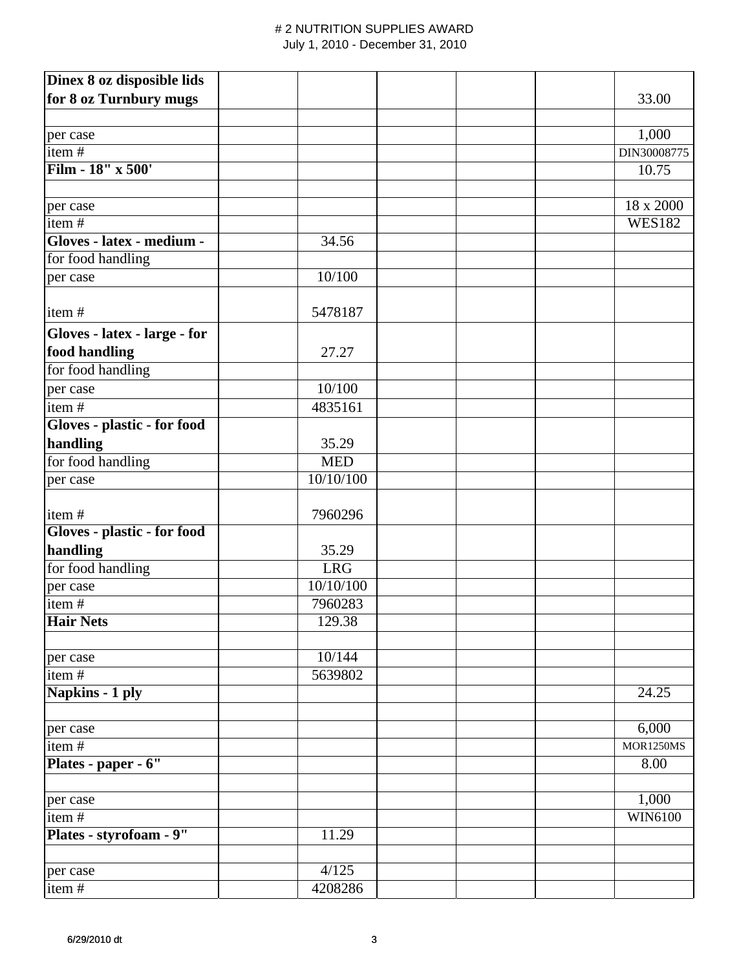| Dinex 8 oz disposible lids   |             |                  |
|------------------------------|-------------|------------------|
| for 8 oz Turnbury mugs       |             | 33.00            |
|                              |             |                  |
| per case                     |             | 1,000            |
| item#                        |             | DIN30008775      |
| Film - 18" x 500'            |             | 10.75            |
|                              |             |                  |
| per case                     |             | 18 x 2000        |
| item $\frac{1}{4}$           |             | <b>WES182</b>    |
| Gloves - latex - medium -    | 34.56       |                  |
| for food handling            |             |                  |
| per case                     | 10/100      |                  |
|                              |             |                  |
| item#                        | 5478187     |                  |
| Gloves - latex - large - for |             |                  |
| food handling                | 27.27       |                  |
| for food handling            |             |                  |
| per case                     | 10/100      |                  |
| item#                        | 4835161     |                  |
| Gloves - plastic - for food  |             |                  |
| handling                     | 35.29       |                  |
| for food handling            | <b>MED</b>  |                  |
| per case                     | 10/10/100   |                  |
|                              |             |                  |
| item#                        | 7960296     |                  |
| Gloves - plastic - for food  |             |                  |
| handling                     | 35.29       |                  |
| for food handling            | ${\rm LRG}$ |                  |
| per case                     | 10/10/100   |                  |
| item#                        | 7960283     |                  |
| <b>Hair Nets</b>             | 129.38      |                  |
|                              |             |                  |
| per case                     | 10/144      |                  |
| item $\frac{1}{4}$           | 5639802     |                  |
| Napkins - 1 ply              |             | 24.25            |
|                              |             |                  |
| per case                     |             | 6,000            |
| item#                        |             | <b>MOR1250MS</b> |
| Plates - paper - 6"          |             | 8.00             |
|                              |             |                  |
| per case                     |             | 1,000            |
| item#                        |             | WIN6100          |
| Plates - styrofoam - 9"      | 11.29       |                  |
|                              |             |                  |
| per case                     | 4/125       |                  |
| item#                        | 4208286     |                  |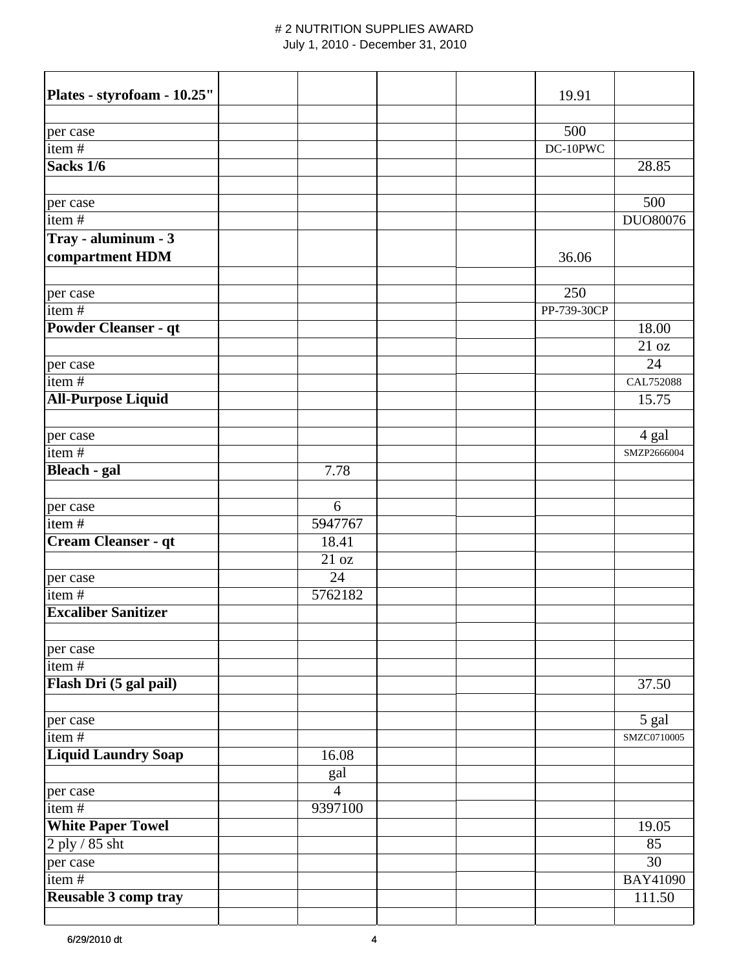| Plates - styrofoam - 10.25" |                |  | 19.91       |                 |
|-----------------------------|----------------|--|-------------|-----------------|
|                             |                |  |             |                 |
| per case                    |                |  | 500         |                 |
| item#                       |                |  | DC-10PWC    |                 |
| Sacks 1/6                   |                |  |             | 28.85           |
|                             |                |  |             |                 |
| per case                    |                |  |             | 500             |
| item#                       |                |  |             | DUO80076        |
| Tray - aluminum - 3         |                |  |             |                 |
| compartment HDM             |                |  | 36.06       |                 |
|                             |                |  |             |                 |
| per case                    |                |  | 250         |                 |
| item#                       |                |  | PP-739-30CP |                 |
| <b>Powder Cleanser - qt</b> |                |  |             | 18.00           |
|                             |                |  |             | 21 oz           |
| per case                    |                |  |             | 24              |
| item#                       |                |  |             | CAL752088       |
| <b>All-Purpose Liquid</b>   |                |  |             | 15.75           |
|                             |                |  |             |                 |
| per case                    |                |  |             | 4 gal           |
| item $#$                    |                |  |             | SMZP2666004     |
| <b>Bleach</b> - gal         | 7.78           |  |             |                 |
|                             |                |  |             |                 |
| per case                    | 6              |  |             |                 |
| item#                       | 5947767        |  |             |                 |
| Cream Cleanser - qt         | 18.41          |  |             |                 |
|                             | 21 oz          |  |             |                 |
| per case                    | 24             |  |             |                 |
| item#                       | 5762182        |  |             |                 |
| <b>Excaliber Sanitizer</b>  |                |  |             |                 |
|                             |                |  |             |                 |
| per case                    |                |  |             |                 |
| item#                       |                |  |             |                 |
| Flash Dri (5 gal pail)      |                |  |             | 37.50           |
|                             |                |  |             |                 |
| per case                    |                |  |             | 5 gal           |
| item#                       |                |  |             | SMZC0710005     |
| <b>Liquid Laundry Soap</b>  | 16.08          |  |             |                 |
|                             | gal            |  |             |                 |
| per case                    | $\overline{4}$ |  |             |                 |
| item $\frac{1}{4}$          | 9397100        |  |             |                 |
| <b>White Paper Towel</b>    |                |  |             | 19.05           |
| $2$ ply $\sqrt{85}$ sht     |                |  |             | 85              |
| per case                    |                |  |             | 30              |
| item#                       |                |  |             | <b>BAY41090</b> |
| Reusable 3 comp tray        |                |  |             | 111.50          |
|                             |                |  |             |                 |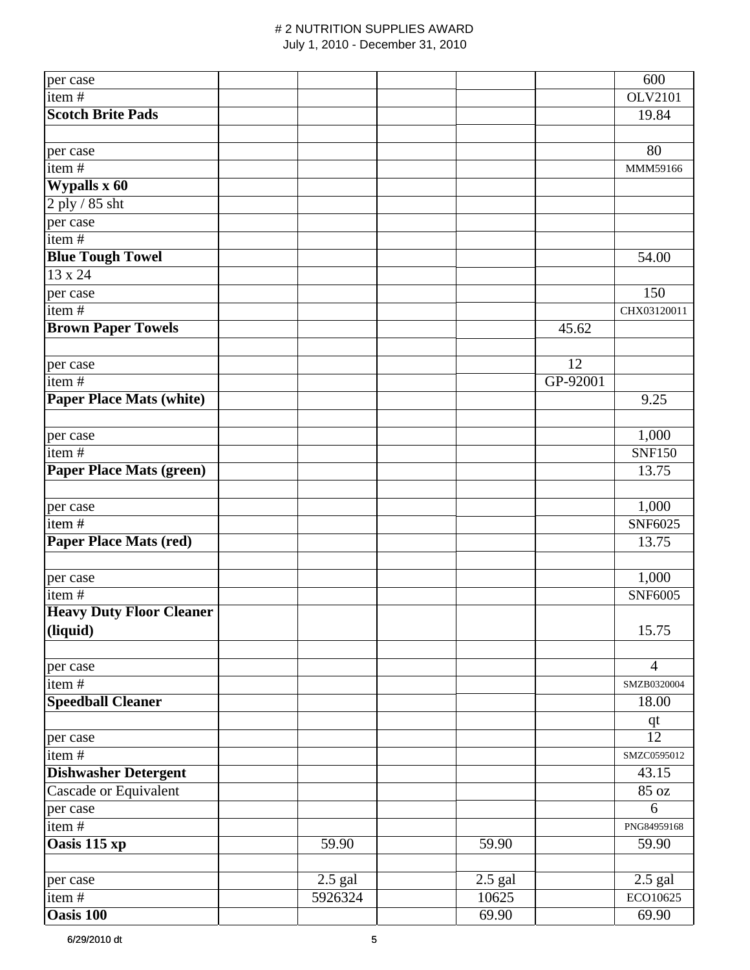| per case                        |           |           |          | 600            |
|---------------------------------|-----------|-----------|----------|----------------|
| item#                           |           |           |          | <b>OLV2101</b> |
| <b>Scotch Brite Pads</b>        |           |           |          | 19.84          |
|                                 |           |           |          |                |
| per case                        |           |           |          | 80             |
| item#                           |           |           |          | MMM59166       |
| <b>Wypalls x 60</b>             |           |           |          |                |
| 2 ply / 85 sht                  |           |           |          |                |
| per case                        |           |           |          |                |
| item#                           |           |           |          |                |
| <b>Blue Tough Towel</b>         |           |           |          | 54.00          |
| $13 \times 24$                  |           |           |          |                |
| per case                        |           |           |          | 150            |
| item $\frac{1}{4}$              |           |           |          | CHX03120011    |
| <b>Brown Paper Towels</b>       |           |           | 45.62    |                |
|                                 |           |           |          |                |
| per case                        |           |           | 12       |                |
| item $\frac{1}{4}$              |           |           | GP-92001 |                |
| <b>Paper Place Mats (white)</b> |           |           |          | 9.25           |
|                                 |           |           |          |                |
| per case                        |           |           |          | 1,000          |
| item#                           |           |           |          | <b>SNF150</b>  |
| <b>Paper Place Mats (green)</b> |           |           |          | 13.75          |
|                                 |           |           |          |                |
| per case                        |           |           |          | 1,000          |
| item#                           |           |           |          | <b>SNF6025</b> |
| <b>Paper Place Mats (red)</b>   |           |           |          | 13.75          |
|                                 |           |           |          |                |
| per case                        |           |           |          | 1,000          |
| item $\frac{1}{4}$              |           |           |          | <b>SNF6005</b> |
| <b>Heavy Duty Floor Cleaner</b> |           |           |          |                |
| (liquid)                        |           |           |          | 15.75          |
|                                 |           |           |          |                |
| per case                        |           |           |          | $\overline{4}$ |
| item $\frac{1}{4}$              |           |           |          | SMZB0320004    |
| <b>Speedball Cleaner</b>        |           |           |          | 18.00          |
|                                 |           |           |          | $q$ t          |
| per case                        |           |           |          | 12             |
| item#                           |           |           |          | SMZC0595012    |
| <b>Dishwasher Detergent</b>     |           |           |          | 43.15          |
| Cascade or Equivalent           |           |           |          | 85 oz          |
| per case                        |           |           |          | 6              |
| item#                           |           |           |          | PNG84959168    |
| Oasis 115 xp                    | 59.90     | 59.90     |          | 59.90          |
|                                 |           |           |          |                |
| per case                        | $2.5$ gal | $2.5$ gal |          | $2.5$ gal      |
| item#                           | 5926324   | 10625     |          | ECO10625       |
| Oasis 100                       |           | 69.90     |          | 69.90          |
|                                 |           |           |          |                |